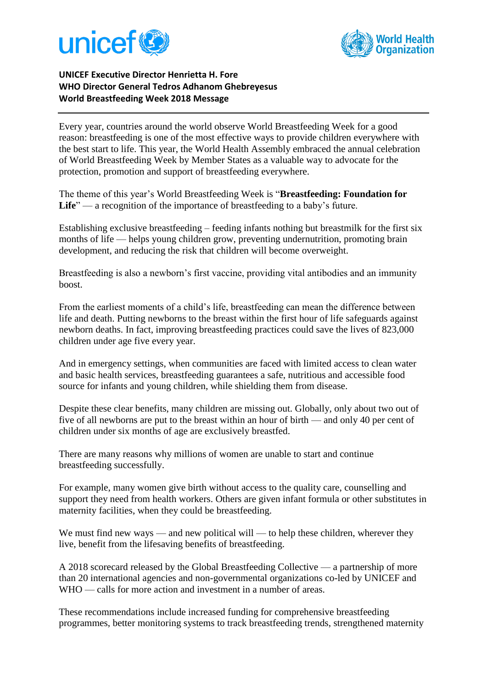



## **UNICEF Executive Director Henrietta H. Fore WHO Director General Tedros Adhanom Ghebreyesus World Breastfeeding Week 2018 Message**

Every year, countries around the world observe World Breastfeeding Week for a good reason: breastfeeding is one of the most effective ways to provide children everywhere with the best start to life. This year, the World Health Assembly embraced the annual celebration of World Breastfeeding Week by Member States as a valuable way to advocate for the protection, promotion and support of breastfeeding everywhere.

The theme of this year's World Breastfeeding Week is "**Breastfeeding: Foundation for**  Life<sup>"</sup> — a recognition of the importance of breastfeeding to a baby's future.

Establishing exclusive breastfeeding – feeding infants nothing but breastmilk for the first six months of life — helps young children grow, preventing undernutrition, promoting brain development, and reducing the risk that children will become overweight.

Breastfeeding is also a newborn's first vaccine, providing vital antibodies and an immunity boost.

From the earliest moments of a child's life, breastfeeding can mean the difference between life and death. Putting newborns to the breast within the first hour of life safeguards against newborn deaths. In fact, improving breastfeeding practices could save the lives of 823,000 children under age five every year.

And in emergency settings, when communities are faced with limited access to clean water and basic health services, breastfeeding guarantees a safe, nutritious and accessible food source for infants and young children, while shielding them from disease.

Despite these clear benefits, many children are missing out. Globally, only about two out of five of all newborns are put to the breast within an hour of birth — and only 40 per cent of children under six months of age are exclusively breastfed.

There are many reasons why millions of women are unable to start and continue breastfeeding successfully.

For example, many women give birth without access to the quality care, counselling and support they need from health workers. Others are given infant formula or other substitutes in maternity facilities, when they could be breastfeeding.

We must find new ways — and new political will — to help these children, wherever they live, benefit from the lifesaving benefits of breastfeeding.

A 2018 scorecard released by the Global Breastfeeding Collective — a partnership of more than 20 international agencies and non-governmental organizations co-led by UNICEF and WHO — calls for more action and investment in a number of areas.

These recommendations include increased funding for comprehensive breastfeeding programmes, better monitoring systems to track breastfeeding trends, strengthened maternity